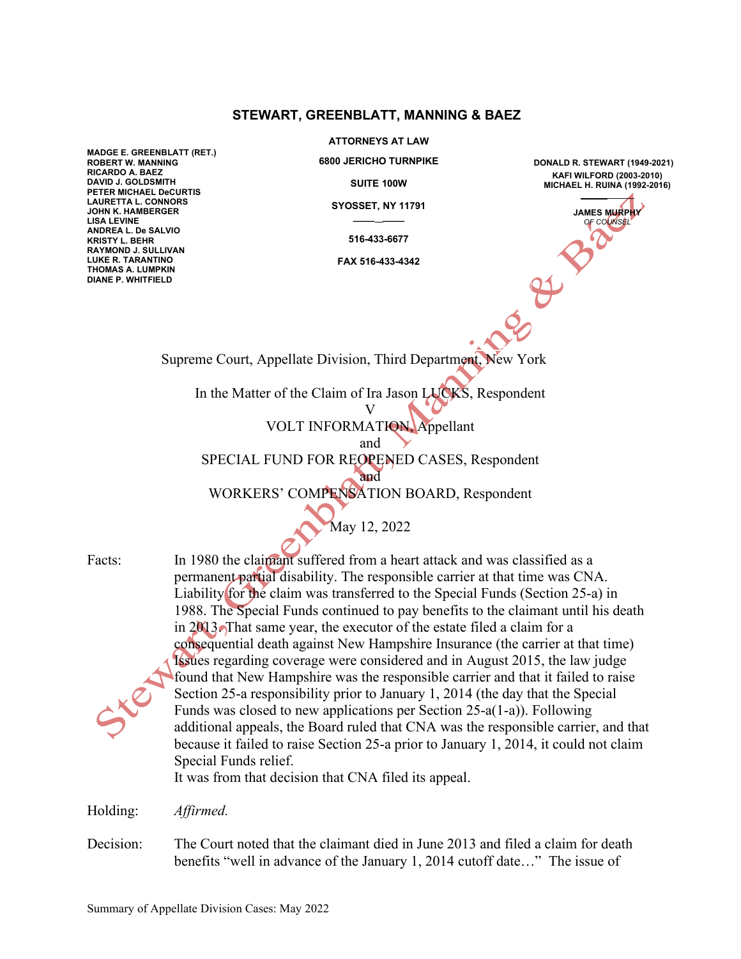## **STEWART, GREENBLATT, MANNING & BAEZ**

**MADGE E. GREENBLATT (RET.) ROBERT W. MANNING RICARDO A. BAEZ DAVID J. GOLDSMITH PETER MICHAEL DeCURTIS LAURETTA L. CONNORS JOHN K. HAMBERGER LISA LEVINE ANDREA L. De SALVIO KRISTY L. BEHR RAYMOND J. SULLIVAN LUKE R. TARANTINO THOMAS A. LUMPKIN DIANE P. WHITFIELD**

**ATTORNEYS AT LAW**

**6800 JERICHO TURNPIKE**

**SUITE 100W**

**SYOSSET, NY 11791 \_\_\_\_ \_\_\_\_**

**516-433-6677**

**FAX 516-433-4342**

**DONALD R. STEWART (1949-2021) KAFI WILFORD (2003-2010) MICHAEL H. RUINA (1992-2016)** \_\_\_\_\_

> **JAMES MURPHY** *OF COUNSEL*

Supreme Court, Appellate Division, Third Department, New York

In the Matter of the Claim of Ira Jason LUCKS, Respondent

V VOLT INFORMATION, Appellant

and

SPECIAL FUND FOR REOPENED CASES, Respondent

and WORKERS' COMPENSATION BOARD, Respondent

May 12, 2022

Facts: In 1980 the claimant suffered from a heart attack and was classified as a permanent partial disability. The responsible carrier at that time was CNA. Liability for the claim was transferred to the Special Funds (Section 25-a) in 1988. The Special Funds continued to pay benefits to the claimant until his death in 2013. That same year, the executor of the estate filed a claim for a consequential death against New Hampshire Insurance (the carrier at that time) Issues regarding coverage were considered and in August 2015, the law judge found that New Hampshire was the responsible carrier and that it failed to raise Section 25-a responsibility prior to January 1, 2014 (the day that the Special Funds was closed to new applications per Section 25-a(1-a)). Following additional appeals, the Board ruled that CNA was the responsible carrier, and that because it failed to raise Section 25-a prior to January 1, 2014, it could not claim Special Funds relief.

It was from that decision that CNA filed its appeal.

Holding: *Affirmed.*

Decision: The Court noted that the claimant died in June 2013 and filed a claim for death benefits "well in advance of the January 1, 2014 cutoff date…" The issue of